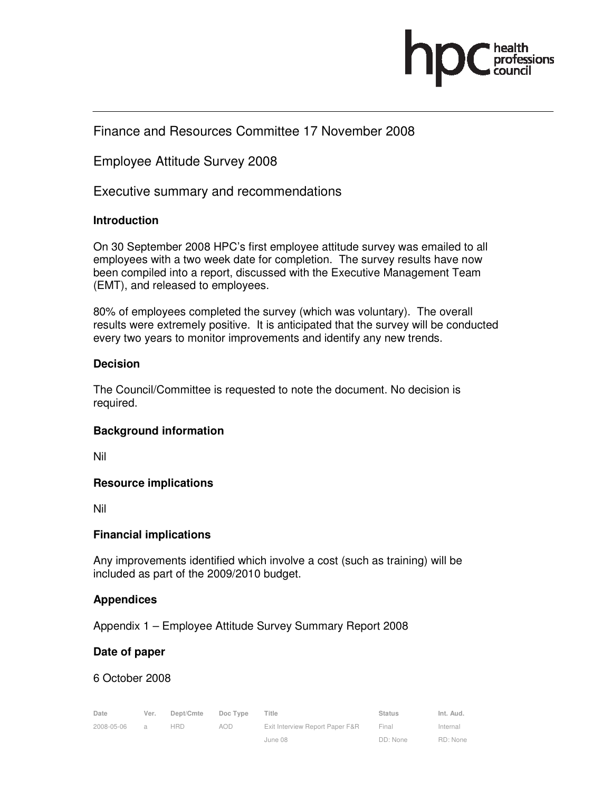

# Finance and Resources Committee 17 November 2008

# Employee Attitude Survey 2008

Executive summary and recommendations

#### **Introduction**

On 30 September 2008 HPC's first employee attitude survey was emailed to all employees with a two week date for completion. The survey results have now been compiled into a report, discussed with the Executive Management Team (EMT), and released to employees.

80% of employees completed the survey (which was voluntary). The overall results were extremely positive. It is anticipated that the survey will be conducted every two years to monitor improvements and identify any new trends.

#### **Decision**

The Council/Committee is requested to note the document. No decision is required.

### **Background information**

Nil

### **Resource implications**

Nil

### **Financial implications**

Any improvements identified which involve a cost (such as training) will be included as part of the 2009/2010 budget.

### **Appendices**

Appendix 1 – Employee Attitude Survey Summary Report 2008

### **Date of paper**

### 6 October 2008

| Date       | Ver.           | Dept/Cmte  | Doc Type | Title                           | <b>Status</b> | Int. Aud. |
|------------|----------------|------------|----------|---------------------------------|---------------|-----------|
| 2008-05-06 | $\overline{a}$ | <b>HRD</b> | AOD      | Exit Interview Report Paper F&R | Final         | Internal  |
|            |                |            |          | June 08                         | DD: None      | RD: None  |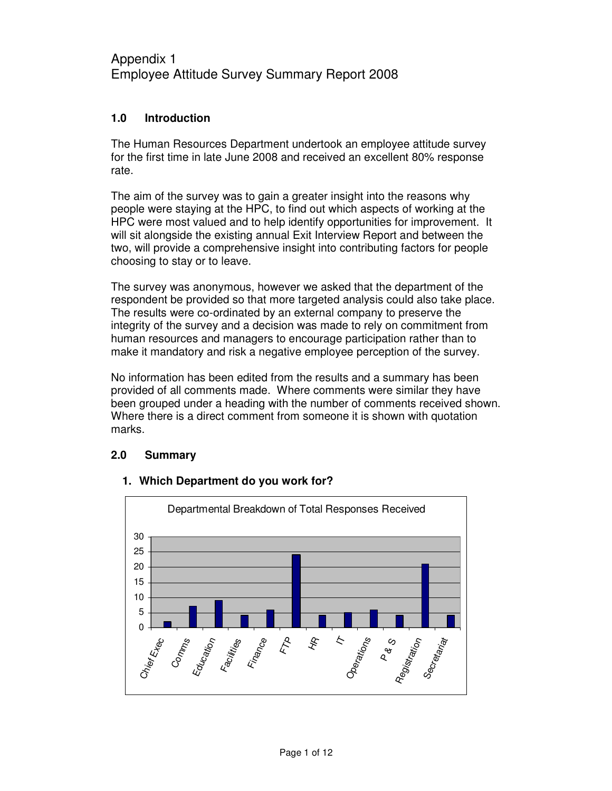# Appendix 1 Employee Attitude Survey Summary Report 2008

#### **1.0 Introduction**

The Human Resources Department undertook an employee attitude survey for the first time in late June 2008 and received an excellent 80% response rate.

The aim of the survey was to gain a greater insight into the reasons why people were staying at the HPC, to find out which aspects of working at the HPC were most valued and to help identify opportunities for improvement. It will sit alongside the existing annual Exit Interview Report and between the two, will provide a comprehensive insight into contributing factors for people choosing to stay or to leave.

The survey was anonymous, however we asked that the department of the respondent be provided so that more targeted analysis could also take place. The results were co-ordinated by an external company to preserve the integrity of the survey and a decision was made to rely on commitment from human resources and managers to encourage participation rather than to make it mandatory and risk a negative employee perception of the survey.

No information has been edited from the results and a summary has been provided of all comments made. Where comments were similar they have been grouped under a heading with the number of comments received shown. Where there is a direct comment from someone it is shown with quotation marks.

#### **2.0 Summary**



#### **1. Which Department do you work for?**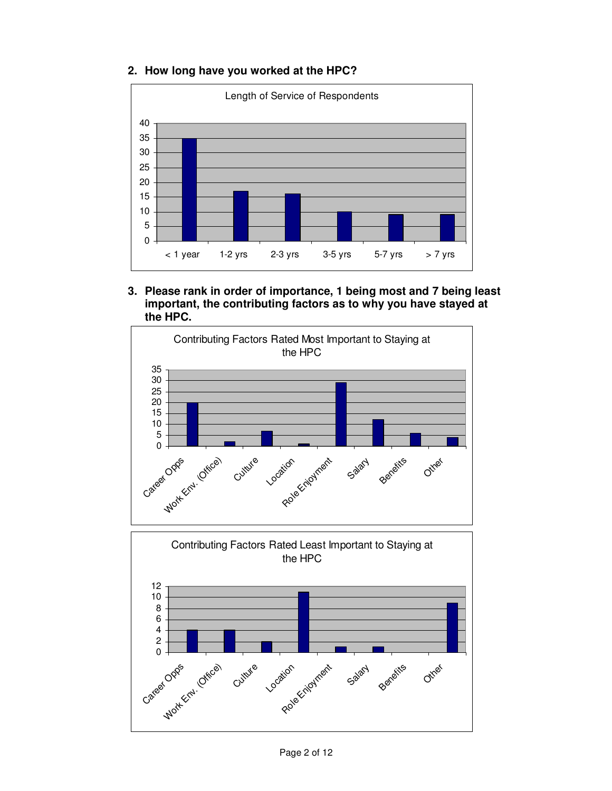

**2. How long have you worked at the HPC?** 

**3. Please rank in order of importance, 1 being most and 7 being least important, the contributing factors as to why you have stayed at the HPC.** 



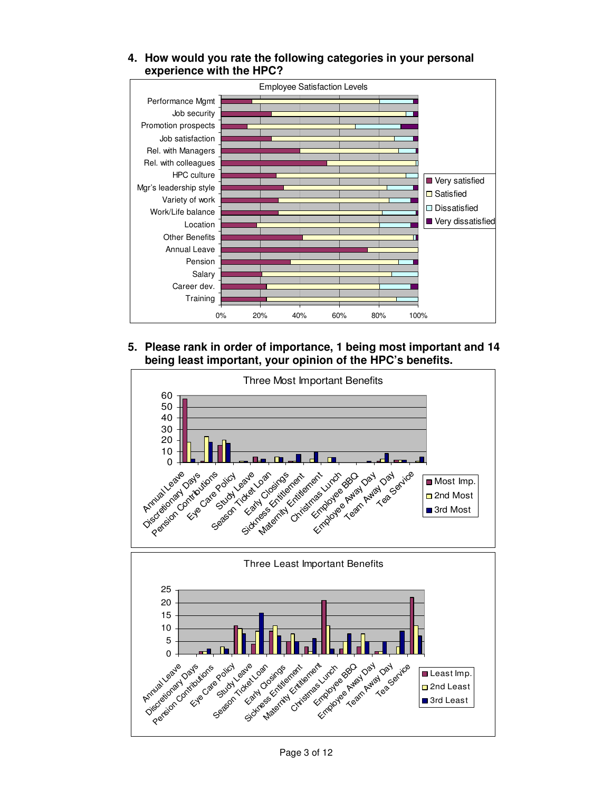

**4. How would you rate the following categories in your personal experience with the HPC?** 

#### **5. Please rank in order of importance, 1 being most important and 14 being least important, your opinion of the HPC's benefits.**



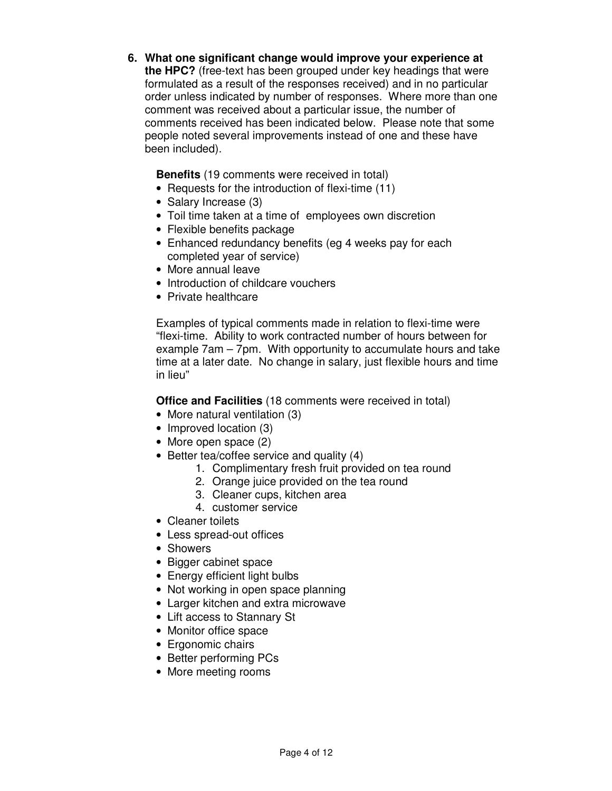### **6. What one significant change would improve your experience at**

**the HPC?** (free-text has been grouped under key headings that were formulated as a result of the responses received) and in no particular order unless indicated by number of responses. Where more than one comment was received about a particular issue, the number of comments received has been indicated below. Please note that some people noted several improvements instead of one and these have been included).

**Benefits** (19 comments were received in total)

- Requests for the introduction of flexi-time (11)
- Salary Increase (3)
- Toil time taken at a time of employees own discretion
- Flexible benefits package
- Enhanced redundancy benefits (eg 4 weeks pay for each completed year of service)
- More annual leave
- Introduction of childcare vouchers
- Private healthcare

Examples of typical comments made in relation to flexi-time were "flexi-time. Ability to work contracted number of hours between for example 7am – 7pm. With opportunity to accumulate hours and take time at a later date. No change in salary, just flexible hours and time in lieu"

**Office and Facilities** (18 comments were received in total)

- More natural ventilation (3)
- Improved location (3)
- More open space (2)
- Better tea/coffee service and quality (4)
	- 1. Complimentary fresh fruit provided on tea round
	- 2. Orange juice provided on the tea round
	- 3. Cleaner cups, kitchen area
	- 4. customer service
- Cleaner toilets
- Less spread-out offices
- Showers
- Bigger cabinet space
- Energy efficient light bulbs
- Not working in open space planning
- Larger kitchen and extra microwave
- Lift access to Stannary St
- Monitor office space
- Ergonomic chairs
- Better performing PCs
- More meeting rooms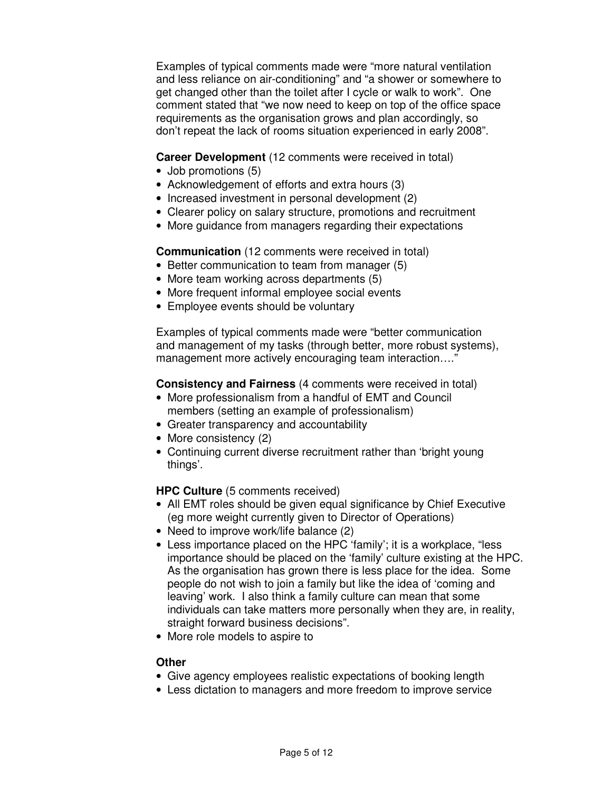Examples of typical comments made were "more natural ventilation and less reliance on air-conditioning" and "a shower or somewhere to get changed other than the toilet after I cycle or walk to work". One comment stated that "we now need to keep on top of the office space requirements as the organisation grows and plan accordingly, so don't repeat the lack of rooms situation experienced in early 2008".

**Career Development** (12 comments were received in total)

- Job promotions (5)
- Acknowledgement of efforts and extra hours (3)
- Increased investment in personal development (2)
- Clearer policy on salary structure, promotions and recruitment
- More guidance from managers regarding their expectations

#### **Communication** (12 comments were received in total)

- Better communication to team from manager (5)
- More team working across departments (5)
- More frequent informal employee social events
- Employee events should be voluntary

Examples of typical comments made were "better communication and management of my tasks (through better, more robust systems), management more actively encouraging team interaction…."

**Consistency and Fairness** (4 comments were received in total)

- More professionalism from a handful of EMT and Council members (setting an example of professionalism)
- Greater transparency and accountability
- More consistency (2)
- Continuing current diverse recruitment rather than 'bright young things'.

**HPC Culture** (5 comments received)

- All EMT roles should be given equal significance by Chief Executive (eg more weight currently given to Director of Operations)
- Need to improve work/life balance (2)
- Less importance placed on the HPC 'family'; it is a workplace, "less importance should be placed on the 'family' culture existing at the HPC. As the organisation has grown there is less place for the idea. Some people do not wish to join a family but like the idea of 'coming and leaving' work. I also think a family culture can mean that some individuals can take matters more personally when they are, in reality, straight forward business decisions".
- More role models to aspire to

#### **Other**

- Give agency employees realistic expectations of booking length
- Less dictation to managers and more freedom to improve service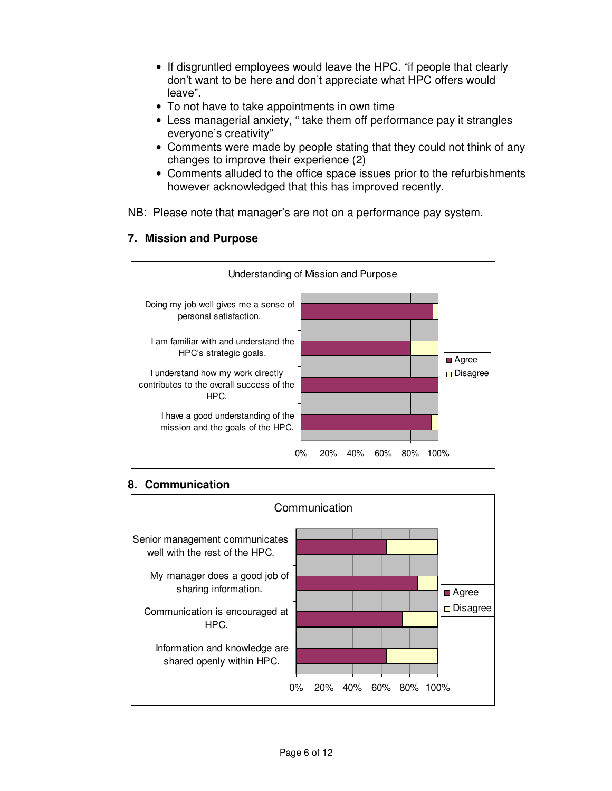- If disgruntled employees would leave the HPC. "if people that clearly don't want to be here and don't appreciate what HPC offers would leave".
- To not have to take appointments in own time
- Less managerial anxiety, " take them off performance pay it strangles everyone's creativity"
- Comments were made by people stating that they could not think of any changes to improve their experience (2)
- Comments alluded to the office space issues prior to the refurbishments however acknowledged that this has improved recently.

NB: Please note that manager's are not on a performance pay system.



#### **7. Mission and Purpose**

#### **8. Communication**

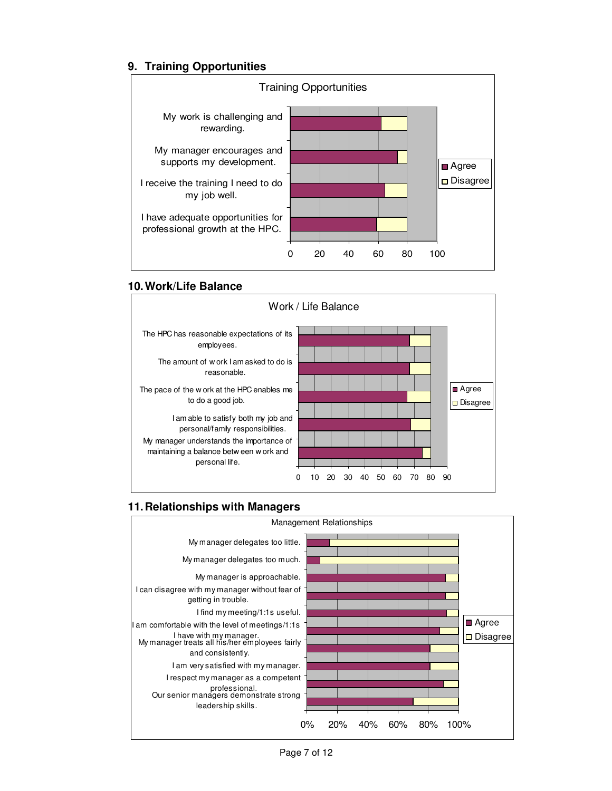# **9. Training Opportunities**



#### **10. Work/Life Balance**



### **11. Relationships with Managers**

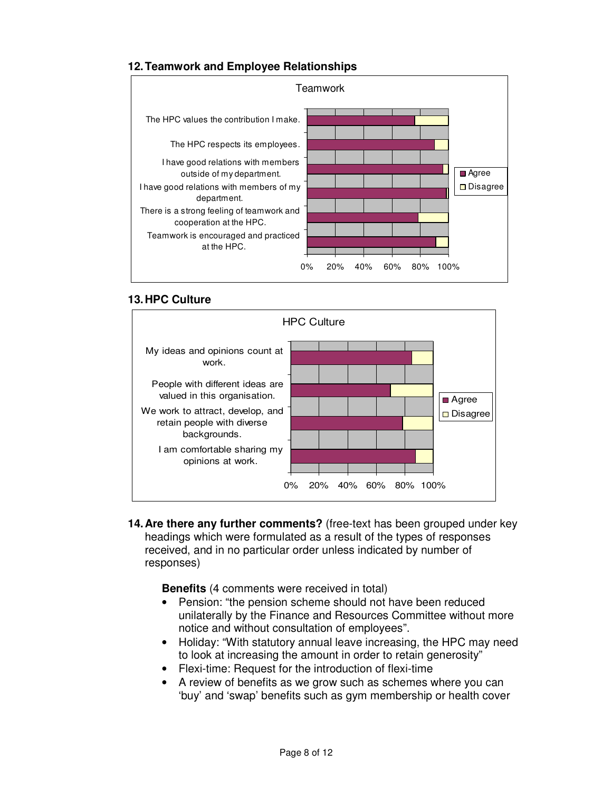## **12. Teamwork and Employee Relationships**



#### **13. HPC Culture**



**14. Are there any further comments?** (free-text has been grouped under key headings which were formulated as a result of the types of responses received, and in no particular order unless indicated by number of responses)

**Benefits** (4 comments were received in total)

- Pension: "the pension scheme should not have been reduced unilaterally by the Finance and Resources Committee without more notice and without consultation of employees".
- Holiday: "With statutory annual leave increasing, the HPC may need to look at increasing the amount in order to retain generosity"
- Flexi-time: Request for the introduction of flexi-time
- A review of benefits as we grow such as schemes where you can 'buy' and 'swap' benefits such as gym membership or health cover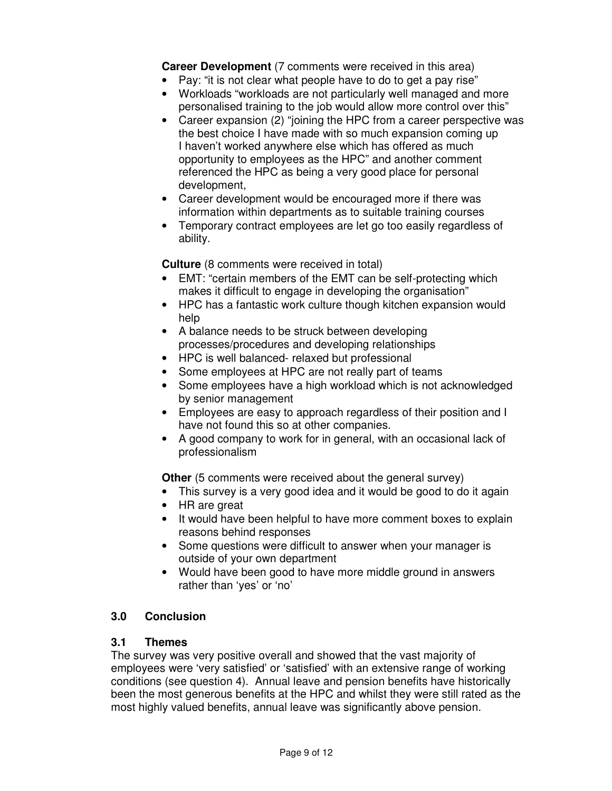**Career Development** (7 comments were received in this area)

- Pay: "it is not clear what people have to do to get a pay rise"
- Workloads "workloads are not particularly well managed and more personalised training to the job would allow more control over this"
- Career expansion (2) "joining the HPC from a career perspective was the best choice I have made with so much expansion coming up I haven't worked anywhere else which has offered as much opportunity to employees as the HPC" and another comment referenced the HPC as being a very good place for personal development,
- Career development would be encouraged more if there was information within departments as to suitable training courses
- Temporary contract employees are let go too easily regardless of ability.

**Culture** (8 comments were received in total)

- EMT: "certain members of the EMT can be self-protecting which makes it difficult to engage in developing the organisation"
- HPC has a fantastic work culture though kitchen expansion would help
- A balance needs to be struck between developing processes/procedures and developing relationships
- HPC is well balanced- relaxed but professional
- Some employees at HPC are not really part of teams
- Some employees have a high workload which is not acknowledged by senior management
- Employees are easy to approach regardless of their position and I have not found this so at other companies.
- A good company to work for in general, with an occasional lack of professionalism

**Other** (5 comments were received about the general survey)

- This survey is a very good idea and it would be good to do it again
- HR are great
- It would have been helpful to have more comment boxes to explain reasons behind responses
- Some questions were difficult to answer when your manager is outside of your own department
- Would have been good to have more middle ground in answers rather than 'yes' or 'no'

#### **3.0 Conclusion**

#### **3.1 Themes**

The survey was very positive overall and showed that the vast majority of employees were 'very satisfied' or 'satisfied' with an extensive range of working conditions (see question 4). Annual leave and pension benefits have historically been the most generous benefits at the HPC and whilst they were still rated as the most highly valued benefits, annual leave was significantly above pension.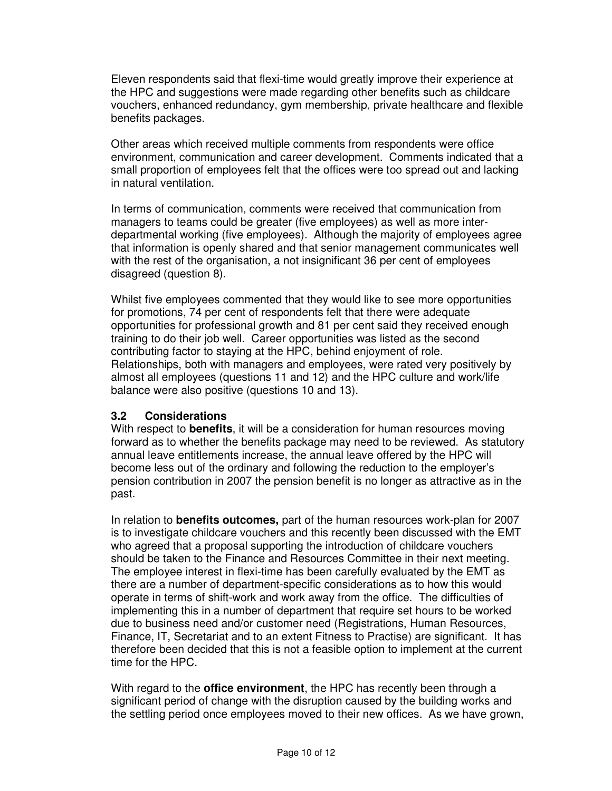Eleven respondents said that flexi-time would greatly improve their experience at the HPC and suggestions were made regarding other benefits such as childcare vouchers, enhanced redundancy, gym membership, private healthcare and flexible benefits packages.

Other areas which received multiple comments from respondents were office environment, communication and career development. Comments indicated that a small proportion of employees felt that the offices were too spread out and lacking in natural ventilation.

In terms of communication, comments were received that communication from managers to teams could be greater (five employees) as well as more interdepartmental working (five employees). Although the majority of employees agree that information is openly shared and that senior management communicates well with the rest of the organisation, a not insignificant 36 per cent of employees disagreed (question 8).

Whilst five employees commented that they would like to see more opportunities for promotions, 74 per cent of respondents felt that there were adequate opportunities for professional growth and 81 per cent said they received enough training to do their job well. Career opportunities was listed as the second contributing factor to staying at the HPC, behind enjoyment of role. Relationships, both with managers and employees, were rated very positively by almost all employees (questions 11 and 12) and the HPC culture and work/life balance were also positive (questions 10 and 13).

#### **3.2 Considerations**

With respect to **benefits**, it will be a consideration for human resources moving forward as to whether the benefits package may need to be reviewed. As statutory annual leave entitlements increase, the annual leave offered by the HPC will become less out of the ordinary and following the reduction to the employer's pension contribution in 2007 the pension benefit is no longer as attractive as in the past.

In relation to **benefits outcomes,** part of the human resources work-plan for 2007 is to investigate childcare vouchers and this recently been discussed with the EMT who agreed that a proposal supporting the introduction of childcare vouchers should be taken to the Finance and Resources Committee in their next meeting. The employee interest in flexi-time has been carefully evaluated by the EMT as there are a number of department-specific considerations as to how this would operate in terms of shift-work and work away from the office. The difficulties of implementing this in a number of department that require set hours to be worked due to business need and/or customer need (Registrations, Human Resources, Finance, IT, Secretariat and to an extent Fitness to Practise) are significant. It has therefore been decided that this is not a feasible option to implement at the current time for the HPC.

With regard to the **office environment**, the HPC has recently been through a significant period of change with the disruption caused by the building works and the settling period once employees moved to their new offices. As we have grown,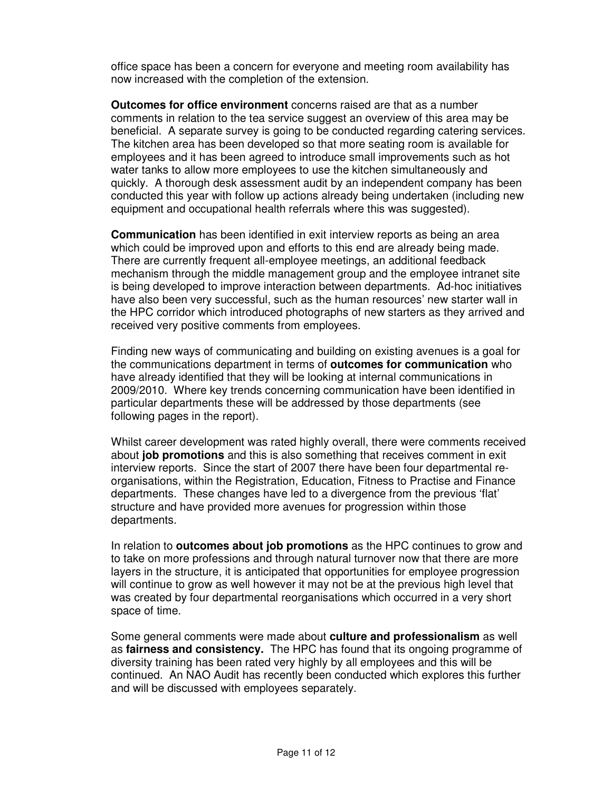office space has been a concern for everyone and meeting room availability has now increased with the completion of the extension.

**Outcomes for office environment** concerns raised are that as a number comments in relation to the tea service suggest an overview of this area may be beneficial. A separate survey is going to be conducted regarding catering services. The kitchen area has been developed so that more seating room is available for employees and it has been agreed to introduce small improvements such as hot water tanks to allow more employees to use the kitchen simultaneously and quickly. A thorough desk assessment audit by an independent company has been conducted this year with follow up actions already being undertaken (including new equipment and occupational health referrals where this was suggested).

**Communication** has been identified in exit interview reports as being an area which could be improved upon and efforts to this end are already being made. There are currently frequent all-employee meetings, an additional feedback mechanism through the middle management group and the employee intranet site is being developed to improve interaction between departments. Ad-hoc initiatives have also been very successful, such as the human resources' new starter wall in the HPC corridor which introduced photographs of new starters as they arrived and received very positive comments from employees.

Finding new ways of communicating and building on existing avenues is a goal for the communications department in terms of **outcomes for communication** who have already identified that they will be looking at internal communications in 2009/2010. Where key trends concerning communication have been identified in particular departments these will be addressed by those departments (see following pages in the report).

Whilst career development was rated highly overall, there were comments received about **job promotions** and this is also something that receives comment in exit interview reports. Since the start of 2007 there have been four departmental reorganisations, within the Registration, Education, Fitness to Practise and Finance departments. These changes have led to a divergence from the previous 'flat' structure and have provided more avenues for progression within those departments.

In relation to **outcomes about job promotions** as the HPC continues to grow and to take on more professions and through natural turnover now that there are more layers in the structure, it is anticipated that opportunities for employee progression will continue to grow as well however it may not be at the previous high level that was created by four departmental reorganisations which occurred in a very short space of time.

Some general comments were made about **culture and professionalism** as well as **fairness and consistency.** The HPC has found that its ongoing programme of diversity training has been rated very highly by all employees and this will be continued. An NAO Audit has recently been conducted which explores this further and will be discussed with employees separately.